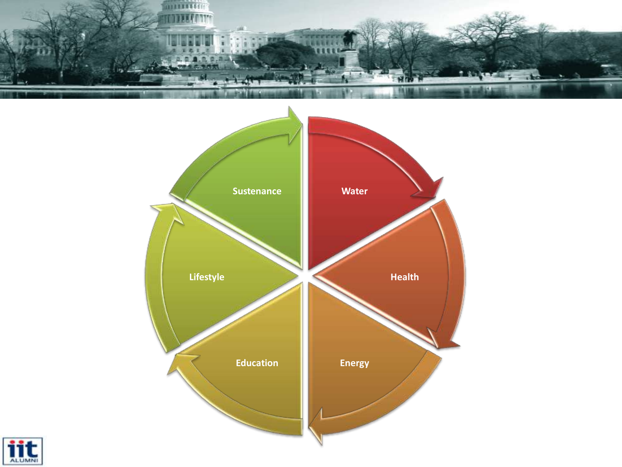



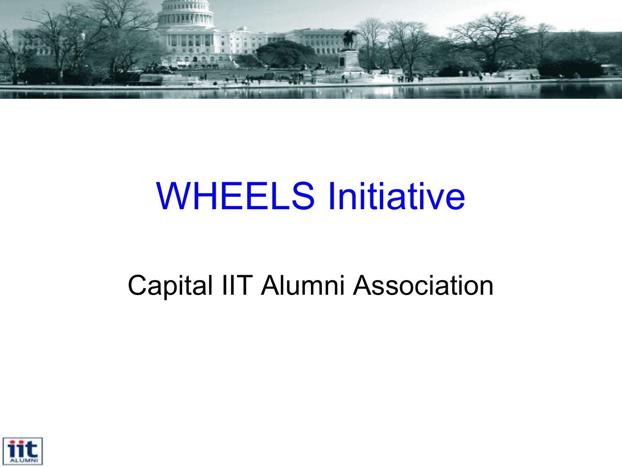

## WHEELS Initiative

### Capital IIT Alumni Association

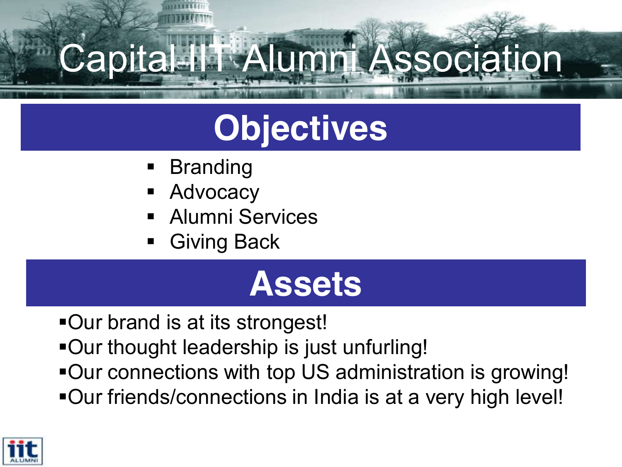## Capital IIT Alumni Association

## **Objectives**

- Branding
- Advocacy
- Alumni Services
- Giving Back

## **Assets**

- Our brand is at its strongest!
- Our thought leadership is just unfurling!
- Our connections with top US administration is growing!
- Our friends/connections in India is at a very high level!

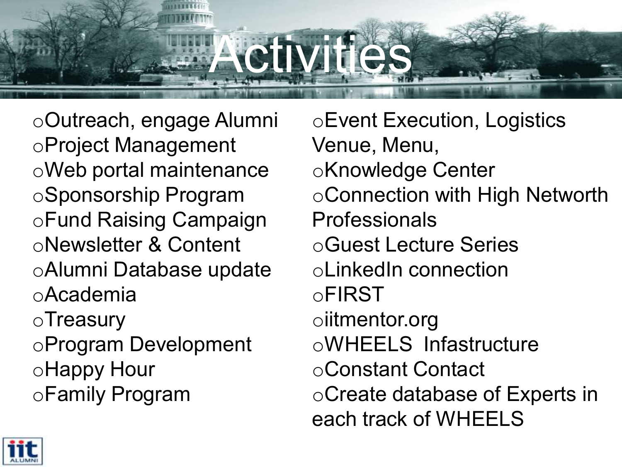# **CIIVITIES**

oOutreach, engage Alumni oProject Management oWeb portal maintenance oSponsorship Program oFund Raising Campaign oNewsletter & Content oAlumni Database update oAcademia oTreasury oProgram Development oHappy Hour oFamily Program

oEvent Execution, Logistics Venue, Menu, oKnowledge Center oConnection with High Networth Professionals oGuest Lecture Series oLinkedIn connection oFIRST oiitmentor.org oWHEELS Infastructure oConstant Contact oCreate database of Experts in each track of WHEELS

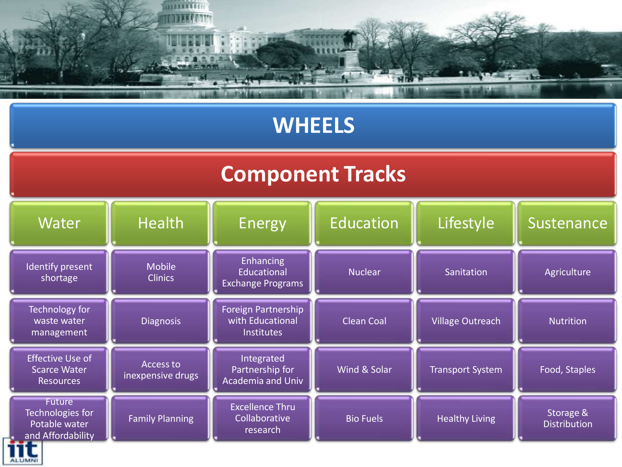

#### **WHEELS**

#### **Component Tracks**



**ALUMNI**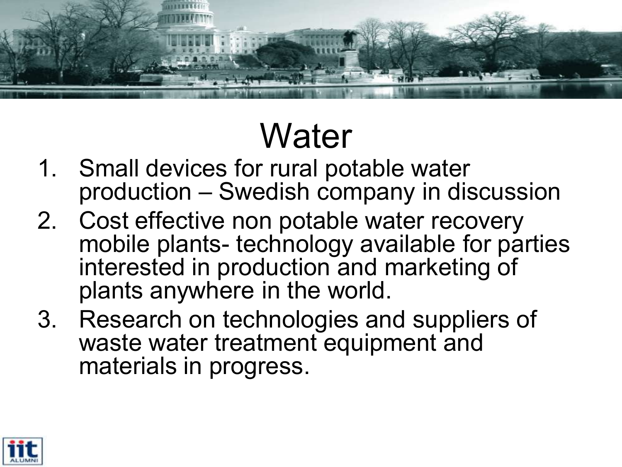

## **Water**

- 1. Small devices for rural potable water production - Swedish company in discussion
- 2. Cost effective non potable water recovery mobile plants- technology available for parties interested in production and marketing of plants anywhere in the world.
- 3. Research on technologies and suppliers of waste water treatment equipment and materials in progress.

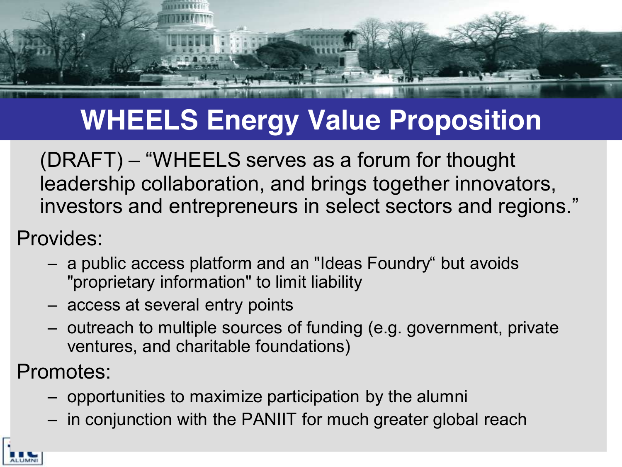## **WHEELS Energy Value Proposition**

 $(DRAFT)$  – "WHEELS serves as a forum for thought leadership collaboration, and brings together innovators, investors and entrepreneurs in select sectors and regions."

Provides:

- a public access platform and an "Ideas Foundry" but avoids "proprietary information" to limit liability
- access at several entry points
- $-$  outreach to multiple sources of funding (e.g. government, private ventures, and charitable foundations)

Promotes:

- $-$  opportunities to maximize participation by the alumni
- $-$  in conjunction with the PANIIT for much greater global reach

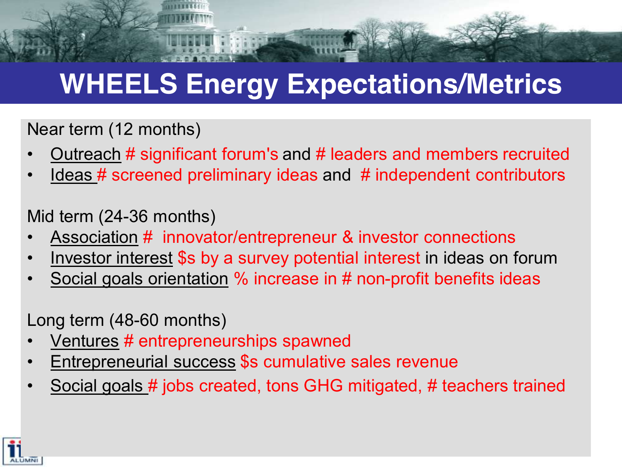## **WHEELS Energy Expectations/Metrics**

Near term (12 months)

- Outreach # significant forum's and # leaders and members recruited
- Ideas # screened preliminary ideas and # independent contributors

Mid term (24-36 months)

- Association # innovator/entrepreneur & investor connections
- Investor interest \$s by a survey potential interest in ideas on forum
- Social goals orientation % increase in # non-profit benefits ideas

Long term (48-60 months)

- Ventures # entrepreneurships spawned
- Entrepreneurial success \$s cumulative sales revenue
- Social goals # jobs created, tons GHG mitigated, # teachers trained